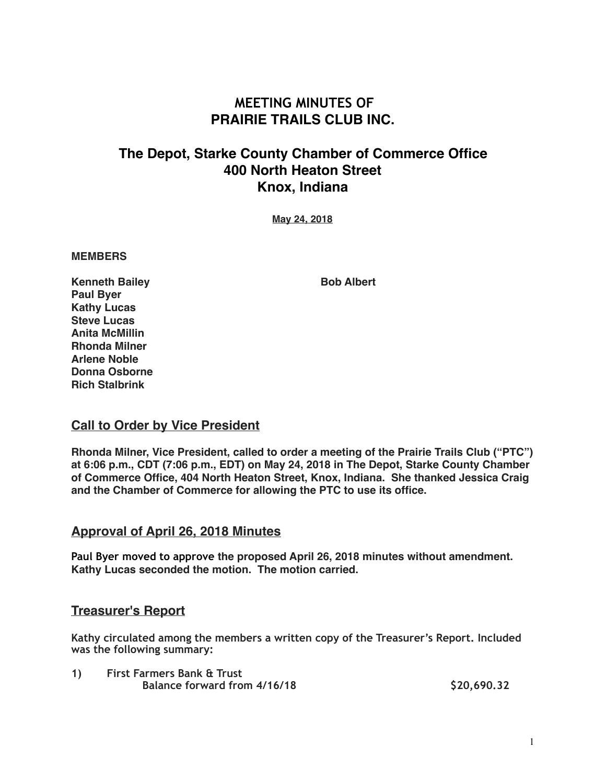# **MEETING MINUTES OF PRAIRIE TRAILS CLUB INC.**

# **The Depot, Starke County Chamber of Commerce Office 400 North Heaton Street Knox, Indiana**

**May 24, 2018**

#### **MEMBERS**

**Kenneth Bailey Community Bob Albert Paul Byer Kathy Lucas Steve Lucas Anita McMillin Rhonda Milner Arlene Noble Donna Osborne Rich Stalbrink**

#### **Call to Order by Vice President**

**Rhonda Milner, Vice President, called to order a meeting of the Prairie Trails Club ("PTC") at 6:06 p.m., CDT (7:06 p.m., EDT) on May 24, 2018 in The Depot, Starke County Chamber of Commerce Office, 404 North Heaton Street, Knox, Indiana. She thanked Jessica Craig and the Chamber of Commerce for allowing the PTC to use its office.**

### **Approval of April 26, 2018 Minutes**

**Paul Byer moved to approve the proposed April 26, 2018 minutes without amendment. Kathy Lucas seconded the motion. The motion carried.**

### **Treasurer's Report**

**Kathy circulated among the members a written copy of the Treasurer's Report. Included was the following summary:** 

**1) First Farmers Bank & Trust Balance forward from 4/16/18 \$20,690.32**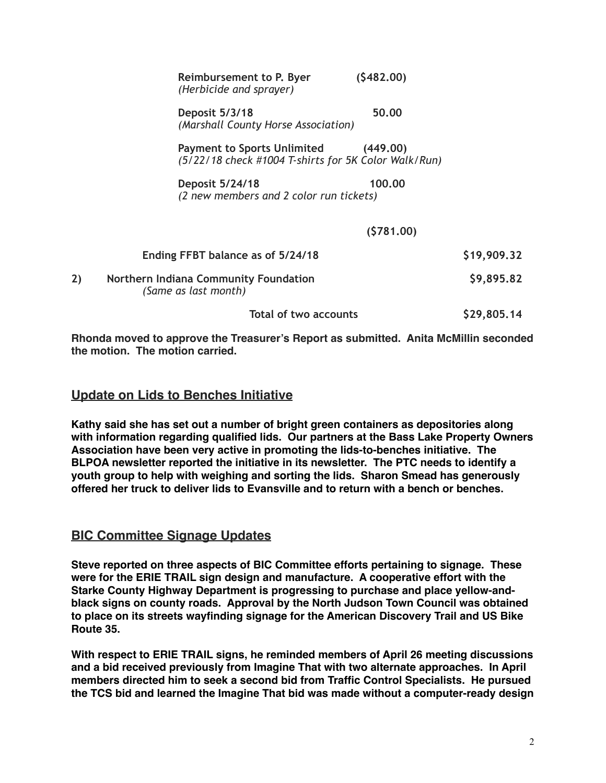|    | Reimbursement to P. Byer<br>(Herbicide and sprayer)                                                    | (5482.00) |             |
|----|--------------------------------------------------------------------------------------------------------|-----------|-------------|
|    | Deposit 5/3/18<br>(Marshall County Horse Association)                                                  | 50.00     |             |
|    | <b>Payment to Sports Unlimited</b><br>(449.00)<br>(5/22/18 check #1004 T-shirts for 5K Color Walk/Run) |           |             |
|    | Deposit 5/24/18<br>(2 new members and 2 color run tickets)                                             | 100.00    |             |
|    | (5781.00)                                                                                              |           |             |
|    | Ending FFBT balance as of 5/24/18                                                                      |           | \$19,909.32 |
| 2) | Northern Indiana Community Foundation<br>(Same as last month)                                          |           | \$9,895.82  |
|    | <b>Total of two accounts</b>                                                                           |           | \$29,805.14 |

**Rhonda moved to approve the Treasurer's Report as submitted. Anita McMillin seconded the motion. The motion carried.**

# **Update on Lids to Benches Initiative**

**Kathy said she has set out a number of bright green containers as depositories along with information regarding qualified lids. Our partners at the Bass Lake Property Owners Association have been very active in promoting the lids-to-benches initiative. The BLPOA newsletter reported the initiative in its newsletter. The PTC needs to identify a youth group to help with weighing and sorting the lids. Sharon Smead has generously offered her truck to deliver lids to Evansville and to return with a bench or benches.**

### **BIC Committee Signage Updates**

**Steve reported on three aspects of BIC Committee efforts pertaining to signage. These were for the ERIE TRAIL sign design and manufacture. A cooperative effort with the Starke County Highway Department is progressing to purchase and place yellow-andblack signs on county roads. Approval by the North Judson Town Council was obtained to place on its streets wayfinding signage for the American Discovery Trail and US Bike Route 35.** 

**With respect to ERIE TRAIL signs, he reminded members of April 26 meeting discussions and a bid received previously from Imagine That with two alternate approaches. In April members directed him to seek a second bid from Traffic Control Specialists. He pursued the TCS bid and learned the Imagine That bid was made without a computer-ready design**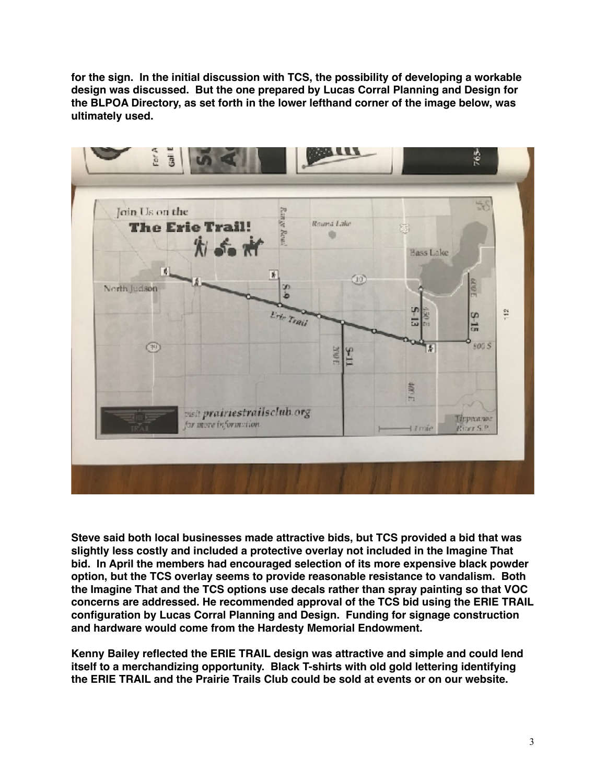**for the sign. In the initial discussion with TCS, the possibility of developing a workable design was discussed. But the one prepared by Lucas Corral Planning and Design for the BLPOA Directory, as set forth in the lower lefthand corner of the image below, was ultimately used.** 



**Steve said both local businesses made attractive bids, but TCS provided a bid that was slightly less costly and included a protective overlay not included in the Imagine That bid. In April the members had encouraged selection of its more expensive black powder option, but the TCS overlay seems to provide reasonable resistance to vandalism. Both the Imagine That and the TCS options use decals rather than spray painting so that VOC concerns are addressed. He recommended approval of the TCS bid using the ERIE TRAIL configuration by Lucas Corral Planning and Design. Funding for signage construction and hardware would come from the Hardesty Memorial Endowment.**

**Kenny Bailey reflected the ERIE TRAIL design was attractive and simple and could lend itself to a merchandizing opportunity. Black T-shirts with old gold lettering identifying the ERIE TRAIL and the Prairie Trails Club could be sold at events or on our website.**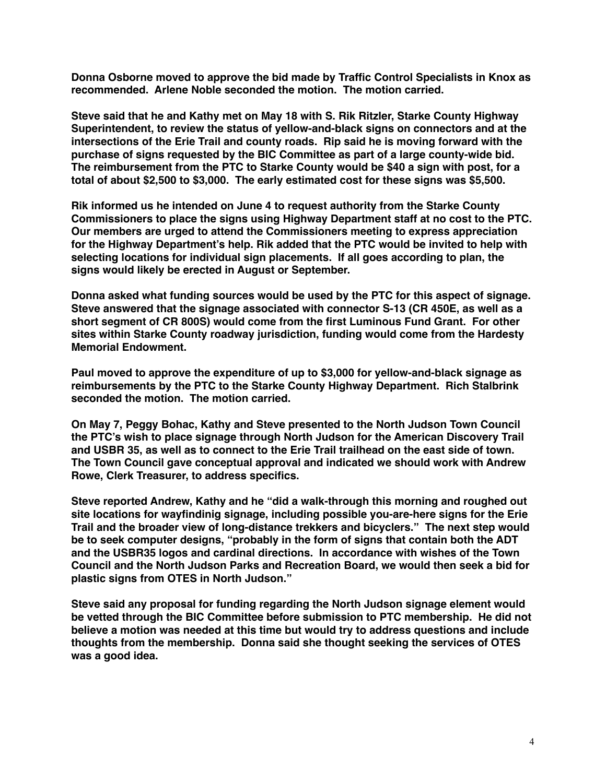**Donna Osborne moved to approve the bid made by Traffic Control Specialists in Knox as recommended. Arlene Noble seconded the motion. The motion carried.**

**Steve said that he and Kathy met on May 18 with S. Rik Ritzler, Starke County Highway Superintendent, to review the status of yellow-and-black signs on connectors and at the intersections of the Erie Trail and county roads. Rip said he is moving forward with the purchase of signs requested by the BIC Committee as part of a large county-wide bid. The reimbursement from the PTC to Starke County would be \$40 a sign with post, for a total of about \$2,500 to \$3,000. The early estimated cost for these signs was \$5,500.**

**Rik informed us he intended on June 4 to request authority from the Starke County Commissioners to place the signs using Highway Department staff at no cost to the PTC. Our members are urged to attend the Commissioners meeting to express appreciation for the Highway Department's help. Rik added that the PTC would be invited to help with selecting locations for individual sign placements. If all goes according to plan, the signs would likely be erected in August or September.**

**Donna asked what funding sources would be used by the PTC for this aspect of signage. Steve answered that the signage associated with connector S-13 (CR 450E, as well as a short segment of CR 800S) would come from the first Luminous Fund Grant. For other sites within Starke County roadway jurisdiction, funding would come from the Hardesty Memorial Endowment.**

**Paul moved to approve the expenditure of up to \$3,000 for yellow-and-black signage as reimbursements by the PTC to the Starke County Highway Department. Rich Stalbrink seconded the motion. The motion carried.**

**On May 7, Peggy Bohac, Kathy and Steve presented to the North Judson Town Council the PTC's wish to place signage through North Judson for the American Discovery Trail and USBR 35, as well as to connect to the Erie Trail trailhead on the east side of town. The Town Council gave conceptual approval and indicated we should work with Andrew Rowe, Clerk Treasurer, to address specifics.** 

**Steve reported Andrew, Kathy and he "did a walk-through this morning and roughed out site locations for wayfindinig signage, including possible you-are-here signs for the Erie Trail and the broader view of long-distance trekkers and bicyclers." The next step would be to seek computer designs, "probably in the form of signs that contain both the ADT and the USBR35 logos and cardinal directions. In accordance with wishes of the Town Council and the North Judson Parks and Recreation Board, we would then seek a bid for plastic signs from OTES in North Judson."**

**Steve said any proposal for funding regarding the North Judson signage element would be vetted through the BIC Committee before submission to PTC membership. He did not believe a motion was needed at this time but would try to address questions and include thoughts from the membership. Donna said she thought seeking the services of OTES was a good idea.**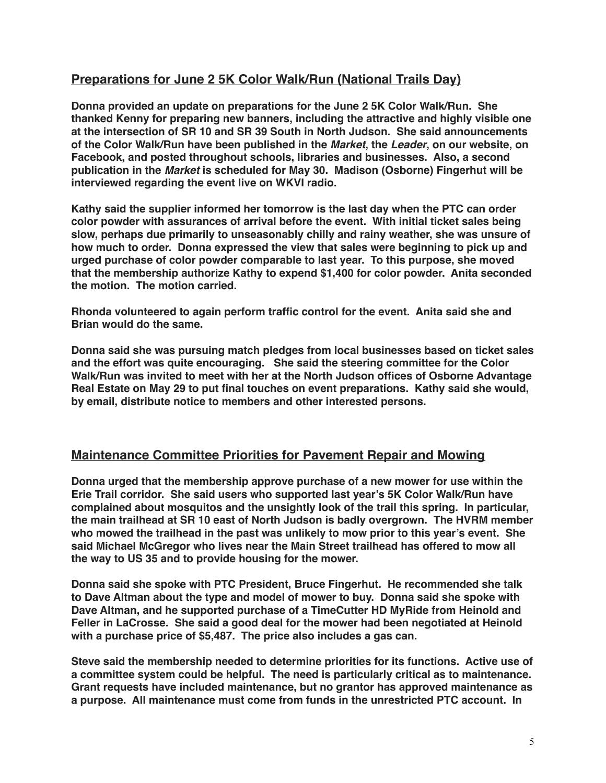# **Preparations for June 2 5K Color Walk/Run (National Trails Day)**

**Donna provided an update on preparations for the June 2 5K Color Walk/Run. She thanked Kenny for preparing new banners, including the attractive and highly visible one at the intersection of SR 10 and SR 39 South in North Judson. She said announcements of the Color Walk/Run have been published in the** *Market***, the** *Leader***, on our website, on Facebook, and posted throughout schools, libraries and businesses. Also, a second publication in the** *Market* **is scheduled for May 30. Madison (Osborne) Fingerhut will be interviewed regarding the event live on WKVI radio.**

**Kathy said the supplier informed her tomorrow is the last day when the PTC can order color powder with assurances of arrival before the event. With initial ticket sales being slow, perhaps due primarily to unseasonably chilly and rainy weather, she was unsure of how much to order. Donna expressed the view that sales were beginning to pick up and urged purchase of color powder comparable to last year. To this purpose, she moved that the membership authorize Kathy to expend \$1,400 for color powder. Anita seconded the motion. The motion carried.**

**Rhonda volunteered to again perform traffic control for the event. Anita said she and Brian would do the same.**

**Donna said she was pursuing match pledges from local businesses based on ticket sales and the effort was quite encouraging. She said the steering committee for the Color Walk/Run was invited to meet with her at the North Judson offices of Osborne Advantage Real Estate on May 29 to put final touches on event preparations. Kathy said she would, by email, distribute notice to members and other interested persons.**

#### **Maintenance Committee Priorities for Pavement Repair and Mowing**

**Donna urged that the membership approve purchase of a new mower for use within the Erie Trail corridor. She said users who supported last year's 5K Color Walk/Run have complained about mosquitos and the unsightly look of the trail this spring. In particular, the main trailhead at SR 10 east of North Judson is badly overgrown. The HVRM member who mowed the trailhead in the past was unlikely to mow prior to this year's event. She said Michael McGregor who lives near the Main Street trailhead has offered to mow all the way to US 35 and to provide housing for the mower.**

**Donna said she spoke with PTC President, Bruce Fingerhut. He recommended she talk to Dave Altman about the type and model of mower to buy. Donna said she spoke with Dave Altman, and he supported purchase of a TimeCutter HD MyRide from Heinold and Feller in LaCrosse. She said a good deal for the mower had been negotiated at Heinold with a purchase price of \$5,487. The price also includes a gas can.**

**Steve said the membership needed to determine priorities for its functions. Active use of a committee system could be helpful. The need is particularly critical as to maintenance. Grant requests have included maintenance, but no grantor has approved maintenance as a purpose. All maintenance must come from funds in the unrestricted PTC account. In**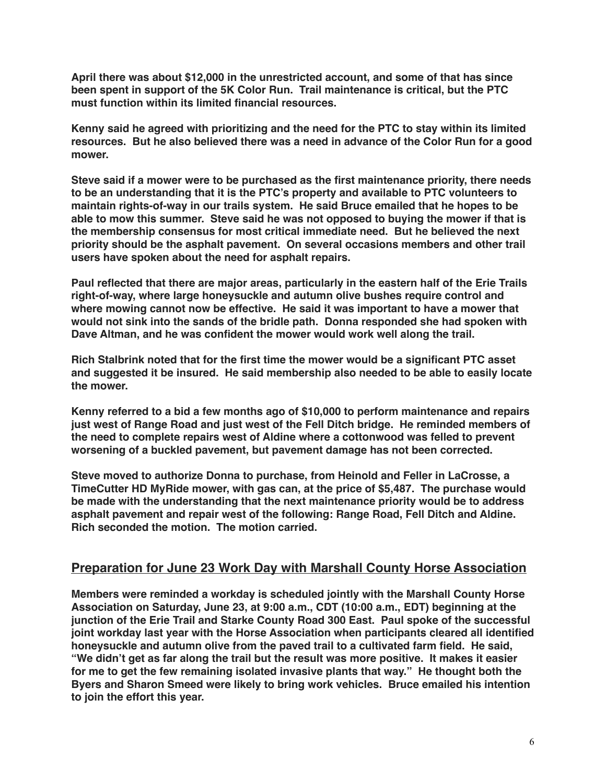**April there was about \$12,000 in the unrestricted account, and some of that has since been spent in support of the 5K Color Run. Trail maintenance is critical, but the PTC must function within its limited financial resources.**

**Kenny said he agreed with prioritizing and the need for the PTC to stay within its limited resources. But he also believed there was a need in advance of the Color Run for a good mower.**

**Steve said if a mower were to be purchased as the first maintenance priority, there needs to be an understanding that it is the PTC's property and available to PTC volunteers to maintain rights-of-way in our trails system. He said Bruce emailed that he hopes to be able to mow this summer. Steve said he was not opposed to buying the mower if that is the membership consensus for most critical immediate need. But he believed the next priority should be the asphalt pavement. On several occasions members and other trail users have spoken about the need for asphalt repairs.**

**Paul reflected that there are major areas, particularly in the eastern half of the Erie Trails right-of-way, where large honeysuckle and autumn olive bushes require control and where mowing cannot now be effective. He said it was important to have a mower that would not sink into the sands of the bridle path. Donna responded she had spoken with Dave Altman, and he was confident the mower would work well along the trail.**

**Rich Stalbrink noted that for the first time the mower would be a significant PTC asset and suggested it be insured. He said membership also needed to be able to easily locate the mower.**

**Kenny referred to a bid a few months ago of \$10,000 to perform maintenance and repairs just west of Range Road and just west of the Fell Ditch bridge. He reminded members of the need to complete repairs west of Aldine where a cottonwood was felled to prevent worsening of a buckled pavement, but pavement damage has not been corrected.**

**Steve moved to authorize Donna to purchase, from Heinold and Feller in LaCrosse, a TimeCutter HD MyRide mower, with gas can, at the price of \$5,487. The purchase would be made with the understanding that the next maintenance priority would be to address asphalt pavement and repair west of the following: Range Road, Fell Ditch and Aldine. Rich seconded the motion. The motion carried.**

### **Preparation for June 23 Work Day with Marshall County Horse Association**

**Members were reminded a workday is scheduled jointly with the Marshall County Horse Association on Saturday, June 23, at 9:00 a.m., CDT (10:00 a.m., EDT) beginning at the junction of the Erie Trail and Starke County Road 300 East. Paul spoke of the successful joint workday last year with the Horse Association when participants cleared all identified honeysuckle and autumn olive from the paved trail to a cultivated farm field. He said, "We didn't get as far along the trail but the result was more positive. It makes it easier for me to get the few remaining isolated invasive plants that way." He thought both the Byers and Sharon Smeed were likely to bring work vehicles. Bruce emailed his intention to join the effort this year.**